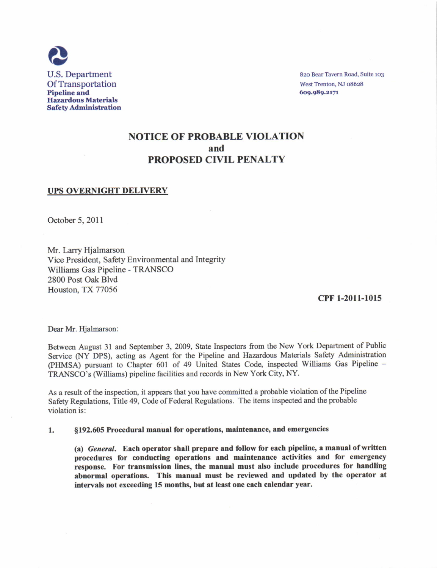

82o Bear Tavern Road, Suite 1o3 West Trenton, NJ 08628 609.989.2171

## NOTICE OF PROBABLE VIOLATION and PROPOSED CIVIL PENALTY

## UPS OVERNIGHT DELIVERY

October 5, 201 I

Mr. Larry Hjalmarson Vice President, Safety Environmental and Integrity Williams Gas Pipeline - TRANSCO 2800 Post Oak Blvd Houston, TX 77056

cPF 1-2011-1015

Dear Mr. Hjalmarson:

Between August 3l and September 3, 2009, State Inspectors from the New York Department of Public Service (NY DPS), acting as Agent for the Pipeline and Hazardous Materials Safety Administration (PHMSA) pursuant to Chapter 601 of 49 United States Code, inspected Williams Gas Pipeline -TRANSCO's (Williams) pipeline facilities and records in New York City, NY.

As a result of the inspection, it appears that you have committed a probable violation of the Pipeline Safety Regulations, Title 49, Code of Federal Regulations. The items inspected and the probable violation is:

1. §192.605 Procedural manual for operations, maintenance, and emergencies

(a) General. Each operator shall prepare and follow for each pipeline, a manual of written procedures for conducting operations and maintenance activities and for emergency response. For transmission lines, the manual must also include procedures for handling abnormal operations. This manual must be reviewed and updated by the operator at intervals not exceeding 15 months, but at least one each calendar year.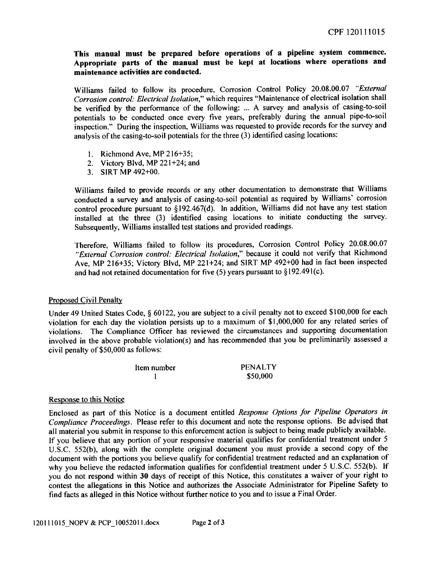This manual must be prepared before operations of a pipeline system commence. Appropriate parts of the manual must be kept at locations where operations and maintenance activities are conducted.

Williams failed to follow its procedure, Corrosion Control Policy 20.08.00.07 "External Corrosion conlrol: Electrical Isolation," which requires "Maintenance of electrical isolation shall be verified by the performance of the following: ... A survey and analysis of casing-to-soil potentials to be conducted once every five years, preferably during the annual pipe-to-soil inspection." During the inspection, Williams was requested to provide records for the survey and analysis of the casing-to-soil potentials for the three (3) identified casing locations:

- l. Richmond Ave, MP 216+35;
- 2. Victory Blvd, MP 221+24; and
- 3. SIRT MP 492+00.

Williams failed to provide records or any other documentation to demonstrate that Williams conducted a survey and analysis of casing-to-soil potential as required by Williams' corrosion control procedure pursuant to §192.467(d). In addition, Williams did not have any test station installed at the three (3) identified casing locations to initiate conducting the survey. Subsequently, Williams installed test stations and provided readings.

Therefore, Williams failed to follow its procedures, Corrosion Control Policy 20.08.00.07 "External Corrosion control: Electrical Isolation," because it could not verify that Richmond Ave, MP 216+35; Victory Blvd, MP 221+24; and SIRT MP 492+00 had in fact been inspected and had not retained documentation for five  $(5)$  years pursuant to  $\S 192.491(c)$ .

## Proposed Civil Penalty

Under 49 United States Code, \$ 60122, you are subject to a civil penalty not to exceed \$100,000 for each violation for each day the violation persists up to a maximum of \$1,000,000 for any related series of violations. The Compliance Officer has reviewed the circumstances and supporting documentation involved in the above probable violation(s) and has recommended that you be preliminarily assessed a civil penalty of \$50,000 as follows:

| Item number | <b>PENALTY</b> |
|-------------|----------------|
|             | \$50,000       |

## Response to this Notice

Enclosed as part of this Notice is a document entitled Response Options for Pipeline Operators in Compliance Proceedings. Please refer to this document and note the response options. Be advised that all material you submit in response to this enforcement action is subject to being made publicly available. If you believe that any portion of your responsive material qualifies for confidential treatment under <sup>5</sup> U.S.C. 552(b), along with the complete original document you must provide a second copy of the document with the portions you believe qualify for confidential treatment redacted and an explanation of why you believe the redacted information qualifies for confidential treatment under 5 U.S.C. 552(b). lf you do not respond within 30 days of receipt of this Notice, this constitutes a waiver of your right to contest the allegations in this Notice and authorizes the Associate Administrator for Pipeline Safety to find facts as allesed in this Notice without further notice to vou and to issue a Final Order.